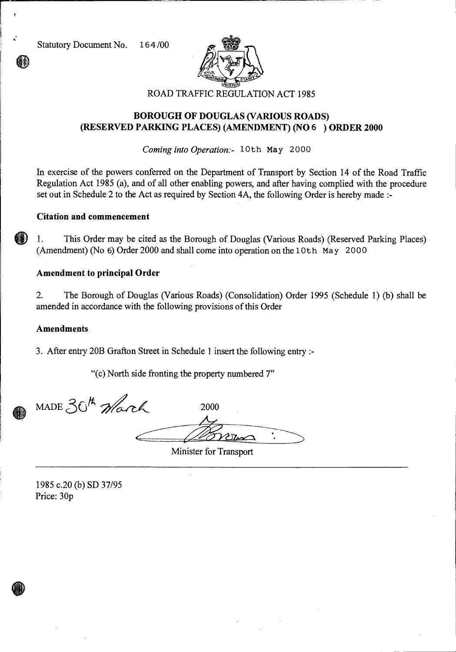

# **BOROUGH OF DOUGLAS (VARIOUS ROADS) (RESERVED PARKING PLACES) (AMENDMENT) (NO** 6 ) **ORDER 2000**

*Coming into Operation:-* 10th May 2000

In exercise of the powers conferred on the Department of Transport by Section 14 of the Road Traffic Regulation Act 1985 (a), and of all other enabling powers, and after having complied with the procedure set out in Schedule 2 to the Act as required by Section 4A, the following Order is hereby made :-

# **Citation and commencement**

1. This Order may be cited as the Borough of Douglas (Various Roads) (Reserved Parking Places) (Amendment) (No  $6$ ) Order 2000 and shall come into operation on the 10th May 2000

### **Amendment to principal Order**

2. The Borough of Douglas (Various Roads) (Consolidation) Order 1995 (Schedule 1) (b) shall be amended in accordance with the following provisions of this Order

#### **Amendments**

3. After entry 20B Grafton Street in Schedule 1 insert the following entry :-

"(c) North side fronting the property numbered 7"

MADE  $30^{k}$  Warch 2000

Minister for Transport

1985 c.20 (b) SD 37/95 Price: 30p